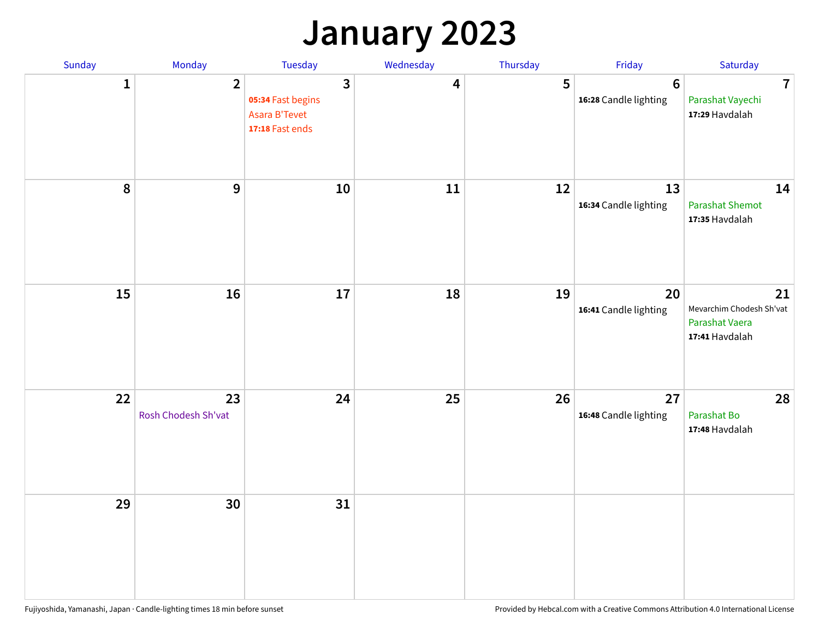### **January 2023**

| Sunday           | Monday                    | Tuesday                                                                                 | Wednesday | Thursday | Friday                                   | Saturday                                                           |
|------------------|---------------------------|-----------------------------------------------------------------------------------------|-----------|----------|------------------------------------------|--------------------------------------------------------------------|
| 1                | $\overline{2}$            | $\overline{\mathbf{3}}$<br>05:34 Fast begins<br><b>Asara B'Tevet</b><br>17:18 Fast ends | 4         | 5        | $6\phantom{1}6$<br>16:28 Candle lighting | $\overline{7}$<br>Parashat Vayechi<br>17:29 Havdalah               |
| $\boldsymbol{8}$ | $\boldsymbol{9}$          | 10                                                                                      | 11        | 12       | 13<br>16:34 Candle lighting              | 14<br><b>Parashat Shemot</b><br>17:35 Havdalah                     |
| 15               | 16                        | 17                                                                                      | 18        | 19       | 20<br>16:41 Candle lighting              | 21<br>Mevarchim Chodesh Sh'vat<br>Parashat Vaera<br>17:41 Havdalah |
| 22               | 23<br>Rosh Chodesh Sh'vat | 24                                                                                      | 25        | 26       | 27<br>16:48 Candle lighting              | 28<br>Parashat Bo<br>17:48 Havdalah                                |
| 29               | 30                        | 31                                                                                      |           |          |                                          |                                                                    |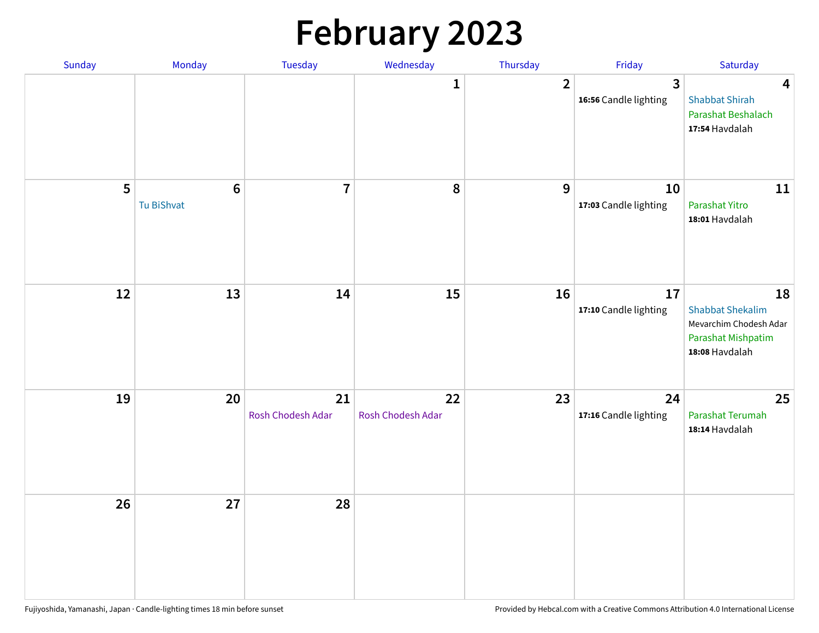# **February 2023**

| Sunday | Monday                        | Tuesday                 | Wednesday               | Thursday       | Friday                                  | Saturday                                                                                        |
|--------|-------------------------------|-------------------------|-------------------------|----------------|-----------------------------------------|-------------------------------------------------------------------------------------------------|
|        |                               |                         | 1                       | $\overline{2}$ | $\overline{3}$<br>16:56 Candle lighting | $\overline{\mathbf{4}}$<br><b>Shabbat Shirah</b><br>Parashat Beshalach<br>17:54 Havdalah        |
| 5      | $6\phantom{1}6$<br>Tu BiShvat | $\overline{7}$          | 8                       | 9              | 10<br>17:03 Candle lighting             | 11<br>Parashat Yitro<br>18:01 Havdalah                                                          |
| 12     | 13                            | 14                      | 15                      | 16             | 17<br>17:10 Candle lighting             | 18<br><b>Shabbat Shekalim</b><br>Mevarchim Chodesh Adar<br>Parashat Mishpatim<br>18:08 Havdalah |
| 19     | 20                            | 21<br>Rosh Chodesh Adar | 22<br>Rosh Chodesh Adar | 23             | 24<br>17:16 Candle lighting             | 25<br>Parashat Terumah<br>18:14 Havdalah                                                        |
| 26     | 27                            | 28                      |                         |                |                                         |                                                                                                 |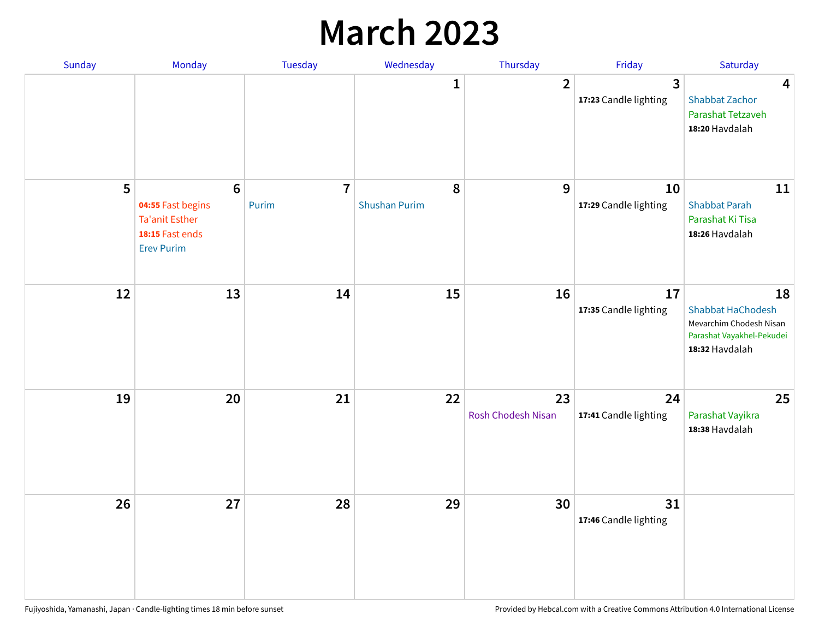### **March 2023**

| Sunday | Monday                                                                                                | Tuesday                 | Wednesday                 | Thursday                        | Friday                      | Saturday                                                                                                 |
|--------|-------------------------------------------------------------------------------------------------------|-------------------------|---------------------------|---------------------------------|-----------------------------|----------------------------------------------------------------------------------------------------------|
|        |                                                                                                       |                         | 1                         | $\overline{2}$                  | 3<br>17:23 Candle lighting  | 4<br><b>Shabbat Zachor</b><br>Parashat Tetzaveh<br>18:20 Havdalah                                        |
| 5      | $6\phantom{1}6$<br>04:55 Fast begins<br><b>Ta'anit Esther</b><br>18:15 Fast ends<br><b>Erev Purim</b> | $\overline{7}$<br>Purim | 8<br><b>Shushan Purim</b> | 9                               | 10<br>17:29 Candle lighting | 11<br><b>Shabbat Parah</b><br>Parashat Ki Tisa<br>18:26 Havdalah                                         |
| 12     | 13                                                                                                    | 14                      | 15                        | 16                              | 17<br>17:35 Candle lighting | 18<br><b>Shabbat HaChodesh</b><br>Mevarchim Chodesh Nisan<br>Parashat Vayakhel-Pekudei<br>18:32 Havdalah |
| 19     | 20                                                                                                    | 21                      | 22                        | 23<br><b>Rosh Chodesh Nisan</b> | 24<br>17:41 Candle lighting | 25<br>Parashat Vayikra<br>18:38 Havdalah                                                                 |
| 26     | 27                                                                                                    | 28                      | 29                        | 30                              | 31<br>17:46 Candle lighting |                                                                                                          |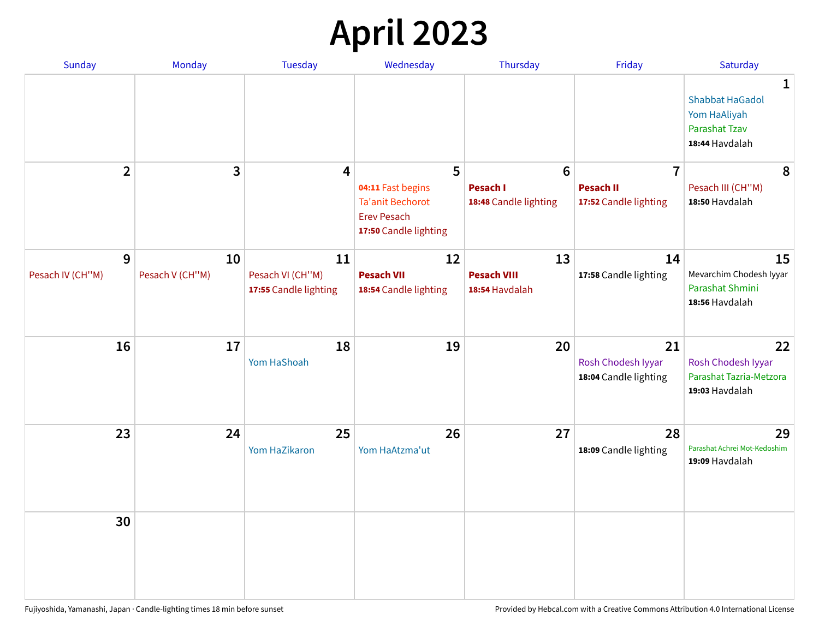## **April 2023**

| Sunday                | <b>Monday</b>         | <b>Tuesday</b>                                  | Wednesday                                                                                   | Thursday                                   | Friday                                            | Saturday                                                                                         |
|-----------------------|-----------------------|-------------------------------------------------|---------------------------------------------------------------------------------------------|--------------------------------------------|---------------------------------------------------|--------------------------------------------------------------------------------------------------|
|                       |                       |                                                 |                                                                                             |                                            |                                                   | $\mathbf{1}$<br><b>Shabbat HaGadol</b><br>Yom HaAliyah<br><b>Parashat Tzav</b><br>18:44 Havdalah |
| $\overline{2}$        | 3                     | 4                                               | 5                                                                                           | 6                                          | $\overline{7}$                                    | 8                                                                                                |
|                       |                       |                                                 | 04:11 Fast begins<br><b>Ta'anit Bechorot</b><br><b>Erev Pesach</b><br>17:50 Candle lighting | <b>Pesach I</b><br>18:48 Candle lighting   | <b>Pesach II</b><br>17:52 Candle lighting         | Pesach III (CH"M)<br>18:50 Havdalah                                                              |
| 9<br>Pesach IV (CH"M) | 10<br>Pesach V (CH"M) | 11<br>Pesach VI (CH"M)<br>17:55 Candle lighting | 12<br><b>Pesach VII</b><br>18:54 Candle lighting                                            | 13<br><b>Pesach VIII</b><br>18:54 Havdalah | 14<br>17:58 Candle lighting                       | 15<br>Mevarchim Chodesh Iyyar<br>Parashat Shmini<br>18:56 Havdalah                               |
| 16                    | 17                    | 18<br>Yom HaShoah                               | 19                                                                                          | 20                                         | 21<br>Rosh Chodesh Iyyar<br>18:04 Candle lighting | 22<br>Rosh Chodesh Iyyar<br>Parashat Tazria-Metzora<br>19:03 Havdalah                            |
| 23                    | 24                    | 25<br>Yom HaZikaron                             | 26<br>Yom HaAtzma'ut                                                                        | 27                                         | 28<br>18:09 Candle lighting                       | 29<br>Parashat Achrei Mot-Kedoshim<br>19:09 Havdalah                                             |
| 30                    |                       |                                                 |                                                                                             |                                            |                                                   |                                                                                                  |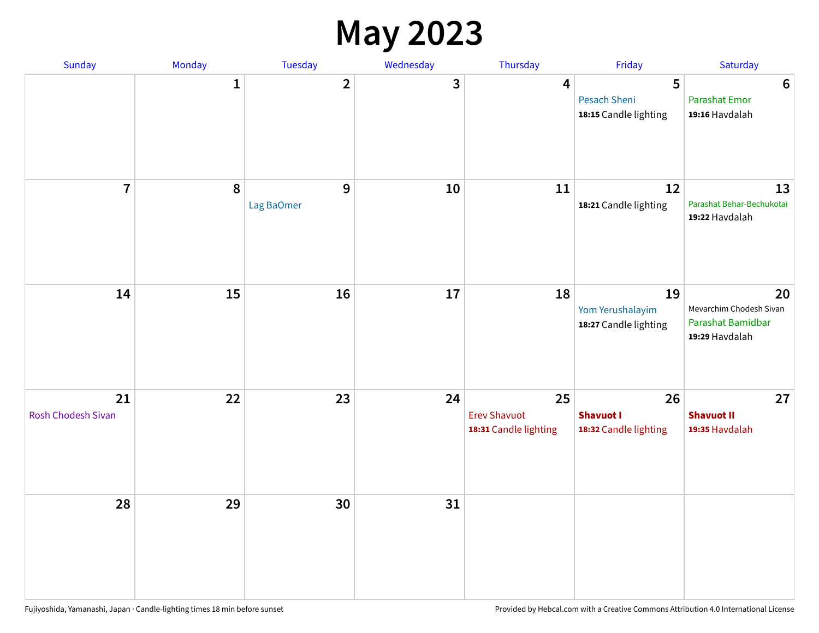#### **May 2023**

| Sunday                          | Monday       | Tuesday                 | Wednesday | Thursday                                           | Friday                                          | Saturday                                                             |
|---------------------------------|--------------|-------------------------|-----------|----------------------------------------------------|-------------------------------------------------|----------------------------------------------------------------------|
|                                 | $\mathbf{1}$ | $\overline{\mathbf{2}}$ | 3         | $\overline{\mathbf{4}}$                            | 5<br>Pesach Sheni<br>18:15 Candle lighting      | $\bf 6$<br><b>Parashat Emor</b><br>19:16 Havdalah                    |
| $\overline{7}$                  | 8            | $9$<br>Lag BaOmer       | 10        | 11                                                 | 12<br>18:21 Candle lighting                     | 13<br>Parashat Behar-Bechukotai<br>19:22 Havdalah                    |
| 14                              | 15           | 16                      | $17\,$    | 18                                                 | 19<br>Yom Yerushalayim<br>18:27 Candle lighting | 20<br>Mevarchim Chodesh Sivan<br>Parashat Bamidbar<br>19:29 Havdalah |
| 21<br><b>Rosh Chodesh Sivan</b> | 22           | 23                      | 24        | 25<br><b>Erev Shavuot</b><br>18:31 Candle lighting | 26<br><b>Shavuot I</b><br>18:32 Candle lighting | 27<br><b>Shavuot II</b><br>19:35 Havdalah                            |
| 28                              | 29           | 30                      | 31        |                                                    |                                                 |                                                                      |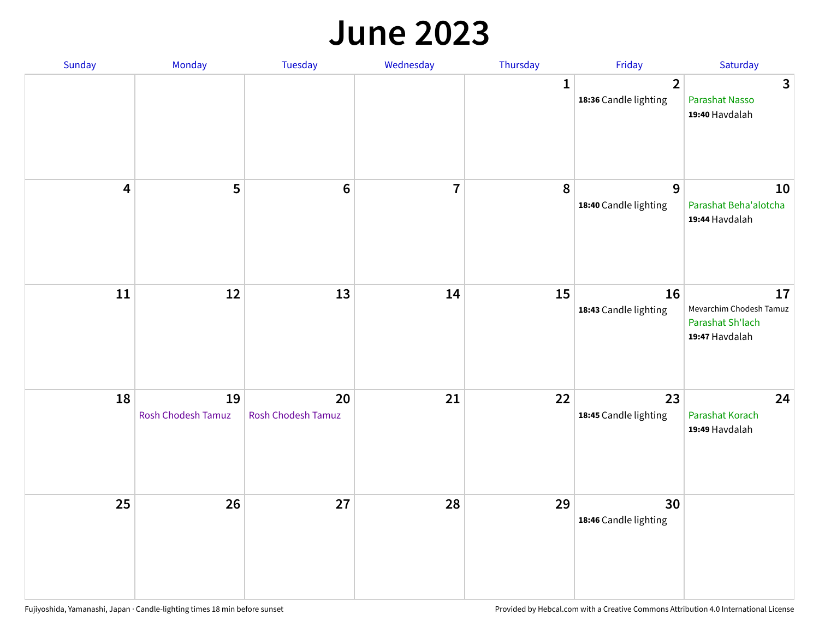#### **June 2023**

| Sunday                  | Monday                          | Tuesday                         | Wednesday               | Thursday | Friday                                  | Saturday                                                            |
|-------------------------|---------------------------------|---------------------------------|-------------------------|----------|-----------------------------------------|---------------------------------------------------------------------|
|                         |                                 |                                 |                         | 1        | $\overline{2}$<br>18:36 Candle lighting | $\mathbf{3}$<br>Parashat Nasso<br>19:40 Havdalah                    |
| $\overline{\mathbf{4}}$ | 5                               | $6\phantom{1}6$                 | $\overline{\mathbf{7}}$ | 8        | $9$<br>18:40 Candle lighting            | 10<br>Parashat Beha'alotcha<br>19:44 Havdalah                       |
| ${\bf 11}$              | $12\,$                          | 13                              | 14                      | 15       | 16<br>18:43 Candle lighting             | 17<br>Mevarchim Chodesh Tamuz<br>Parashat Sh'lach<br>19:47 Havdalah |
| 18                      | 19<br><b>Rosh Chodesh Tamuz</b> | 20<br><b>Rosh Chodesh Tamuz</b> | 21                      | 22       | 23<br>18:45 Candle lighting             | 24<br>Parashat Korach<br>19:49 Havdalah                             |
| 25                      | 26                              | 27                              | 28                      | 29       | 30<br>18:46 Candle lighting             |                                                                     |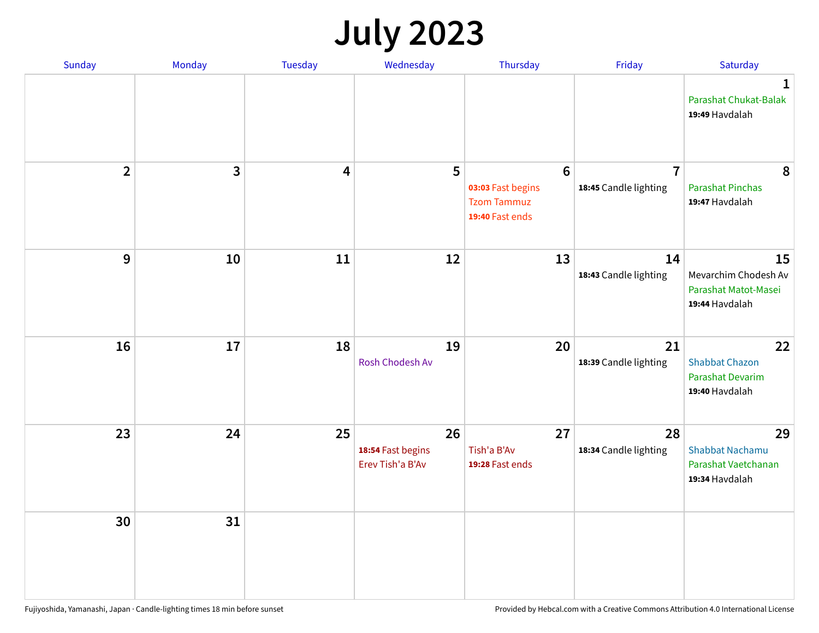## **July 2023**

| Sunday         | Monday       | <b>Tuesday</b>          | Wednesday                                   | Thursday                                                                      | Friday                                  | Saturday                                                              |
|----------------|--------------|-------------------------|---------------------------------------------|-------------------------------------------------------------------------------|-----------------------------------------|-----------------------------------------------------------------------|
|                |              |                         |                                             |                                                                               |                                         | $\mathbf 1$<br>Parashat Chukat-Balak<br>19:49 Havdalah                |
| $\overline{2}$ | $\mathbf{3}$ | $\overline{\mathbf{4}}$ | 5                                           | $6\phantom{1}6$<br>03:03 Fast begins<br><b>Tzom Tammuz</b><br>19:40 Fast ends | $\overline{7}$<br>18:45 Candle lighting | 8<br><b>Parashat Pinchas</b><br>19:47 Havdalah                        |
| 9              | 10           | 11                      | 12                                          | 13                                                                            | 14<br>18:43 Candle lighting             | 15<br>Mevarchim Chodesh Av<br>Parashat Matot-Masei<br>19:44 Havdalah  |
| 16             | 17           | 18                      | 19<br>Rosh Chodesh Av                       | 20                                                                            | 21<br>18:39 Candle lighting             | 22<br><b>Shabbat Chazon</b><br>Parashat Devarim<br>19:40 Havdalah     |
| 23             | 24           | 25                      | 26<br>18:54 Fast begins<br>Erev Tish'a B'Av | 27<br>Tish'a B'Av<br>19:28 Fast ends                                          | 28<br>18:34 Candle lighting             | 29<br><b>Shabbat Nachamu</b><br>Parashat Vaetchanan<br>19:34 Havdalah |
| 30             | 31           |                         |                                             |                                                                               |                                         |                                                                       |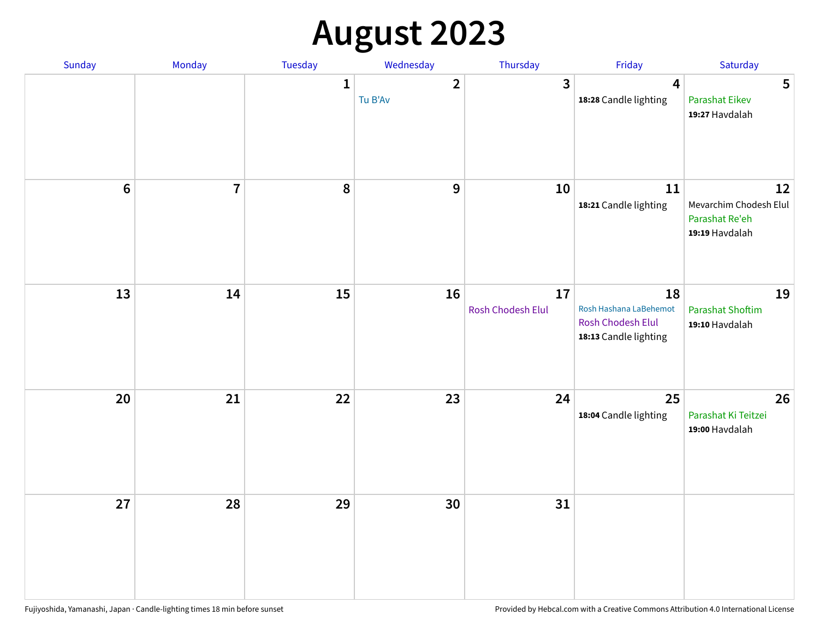# **August 2023**

| Sunday  | Monday         | Tuesday      | Wednesday                 | Thursday                | Friday                                                                     | Saturday                                                         |
|---------|----------------|--------------|---------------------------|-------------------------|----------------------------------------------------------------------------|------------------------------------------------------------------|
|         |                | $\mathbf{1}$ | $\overline{2}$<br>Tu B'Av | $\mathbf{3}$            | $\overline{4}$<br>18:28 Candle lighting                                    | 5<br><b>Parashat Eikev</b><br>19:27 Havdalah                     |
| $\bf 6$ | $\overline{7}$ | 8            | $\boldsymbol{9}$          | 10                      | 11<br>18:21 Candle lighting                                                | 12<br>Mevarchim Chodesh Elul<br>Parashat Re'eh<br>19:19 Havdalah |
| 13      | 14             | 15           | 16                        | 17<br>Rosh Chodesh Elul | 18<br>Rosh Hashana LaBehemot<br>Rosh Chodesh Elul<br>18:13 Candle lighting | 19<br><b>Parashat Shoftim</b><br>19:10 Havdalah                  |
| 20      | 21             | 22           | 23                        | 24                      | 25<br>18:04 Candle lighting                                                | 26<br>Parashat Ki Teitzei<br>19:00 Havdalah                      |
| 27      | 28             | 29           | 30                        | 31                      |                                                                            |                                                                  |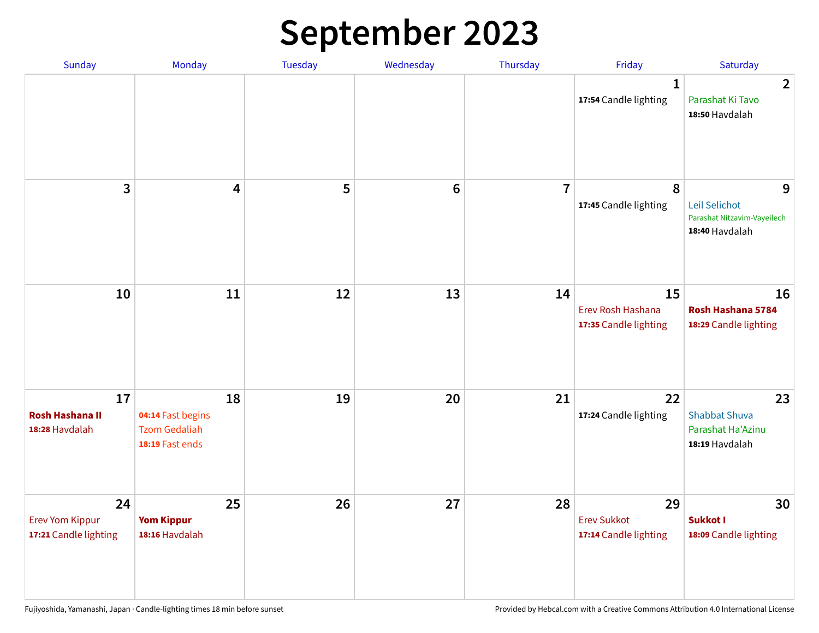## **September 2023**

| Sunday                                                | Monday                                                             | Tuesday | Wednesday       | Thursday       | Friday                                            | Saturday                                                            |
|-------------------------------------------------------|--------------------------------------------------------------------|---------|-----------------|----------------|---------------------------------------------------|---------------------------------------------------------------------|
|                                                       |                                                                    |         |                 |                | 1<br>17:54 Candle lighting                        | $\overline{2}$<br>Parashat Ki Tavo<br>18:50 Havdalah                |
| 3                                                     | $\overline{\mathbf{4}}$                                            | 5       | $6\phantom{1}6$ | $\overline{7}$ | 8<br>17:45 Candle lighting                        | 9<br>Leil Selichot<br>Parashat Nitzavim-Vayeilech<br>18:40 Havdalah |
| 10                                                    | 11                                                                 | 12      | 13              | 14             | 15<br>Erev Rosh Hashana<br>17:35 Candle lighting  | 16<br>Rosh Hashana 5784<br>18:29 Candle lighting                    |
| 17<br><b>Rosh Hashana II</b><br>18:28 Havdalah        | 18<br>04:14 Fast begins<br><b>Tzom Gedaliah</b><br>18:19 Fast ends | 19      | 20              | 21             | 22<br>17:24 Candle lighting                       | 23<br><b>Shabbat Shuva</b><br>Parashat Ha'Azinu<br>18:19 Havdalah   |
| 24<br><b>Erev Yom Kippur</b><br>17:21 Candle lighting | 25<br><b>Yom Kippur</b><br>18:16 Havdalah                          | 26      | 27              | 28             | 29<br><b>Erev Sukkot</b><br>17:14 Candle lighting | 30<br><b>Sukkot I</b><br>18:09 Candle lighting                      |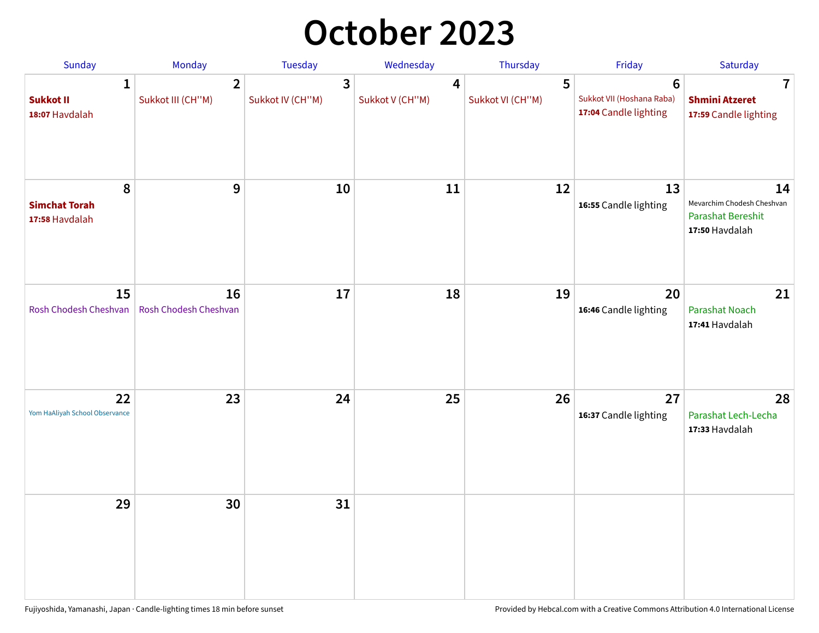## **October 2023**

| Sunday                                             | <b>Monday</b>                       | <b>Tuesday</b>        | Wednesday            | Thursday              | Friday                                                               | Saturday                                                                       |
|----------------------------------------------------|-------------------------------------|-----------------------|----------------------|-----------------------|----------------------------------------------------------------------|--------------------------------------------------------------------------------|
| $\mathbf{1}$<br><b>Sukkot II</b><br>18:07 Havdalah | $\overline{2}$<br>Sukkot III (CH"M) | 3<br>Sukkot IV (CH"M) | 4<br>Sukkot V (CH"M) | 5<br>Sukkot VI (CH"M) | $6\phantom{1}$<br>Sukkot VII (Hoshana Raba)<br>17:04 Candle lighting | 7<br><b>Shmini Atzeret</b><br>17:59 Candle lighting                            |
| 8<br><b>Simchat Torah</b><br>17:58 Havdalah        | 9                                   | 10                    | 11                   | 12                    | 13<br>16:55 Candle lighting                                          | 14<br>Mevarchim Chodesh Cheshvan<br><b>Parashat Bereshit</b><br>17:50 Havdalah |
| 15<br>Rosh Chodesh Cheshvan                        | 16<br>Rosh Chodesh Cheshvan         | 17                    | 18                   | 19                    | 20<br>16:46 Candle lighting                                          | 21<br>Parashat Noach<br>17:41 Havdalah                                         |
| 22<br>Yom HaAliyah School Observance               | 23                                  | 24                    | 25                   | 26                    | 27<br>16:37 Candle lighting                                          | 28<br>Parashat Lech-Lecha<br>17:33 Havdalah                                    |
| 29                                                 | 30                                  | 31                    |                      |                       |                                                                      |                                                                                |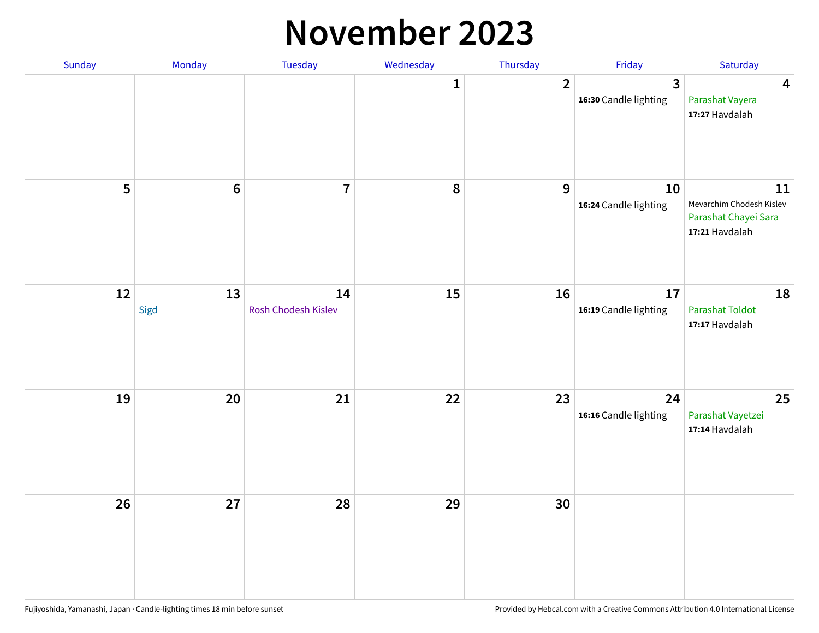#### **November 2023**

| Sunday | <b>Monday</b>   | <b>Tuesday</b>            | Wednesday    | Thursday       | Friday                                | Saturday                                                                 |
|--------|-----------------|---------------------------|--------------|----------------|---------------------------------------|--------------------------------------------------------------------------|
|        |                 |                           | $\mathbf{1}$ | $\overline{2}$ | $\mathbf{3}$<br>16:30 Candle lighting | $\overline{\mathbf{4}}$<br>Parashat Vayera<br>17:27 Havdalah             |
| 5      | $6\phantom{1}6$ | $\overline{7}$            | ${\bf 8}$    | 9              | 10<br>16:24 Candle lighting           | 11<br>Mevarchim Chodesh Kislev<br>Parashat Chayei Sara<br>17:21 Havdalah |
| 12     | 13<br>Sigd      | 14<br>Rosh Chodesh Kislev | 15           | 16             | 17<br>16:19 Candle lighting           | 18<br>Parashat Toldot<br>17:17 Havdalah                                  |
| 19     | 20              | 21                        | 22           | 23             | 24<br>16:16 Candle lighting           | 25<br>Parashat Vayetzei<br>17:14 Havdalah                                |
| 26     | 27              | 28                        | 29           | 30             |                                       |                                                                          |